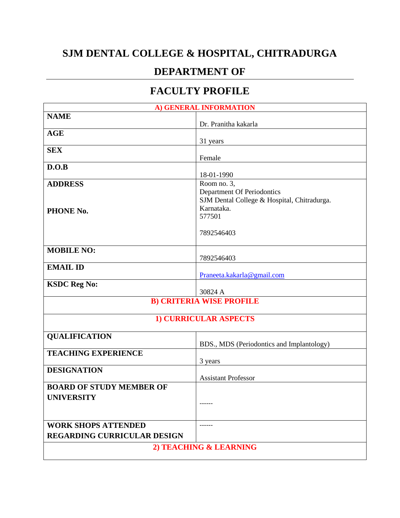## **SJM DENTAL COLLEGE & HOSPITAL, CHITRADURGA**

## **DEPARTMENT OF**

## **FACULTY PROFILE**

| A) GENERAL INFORMATION             |                                             |  |
|------------------------------------|---------------------------------------------|--|
| <b>NAME</b>                        |                                             |  |
|                                    | Dr. Pranitha kakarla                        |  |
| <b>AGE</b>                         |                                             |  |
|                                    | 31 years                                    |  |
| <b>SEX</b>                         | Female                                      |  |
| D.O.B                              |                                             |  |
|                                    | 18-01-1990                                  |  |
| <b>ADDRESS</b>                     | Room no. $3$ ,                              |  |
|                                    | Department Of Periodontics                  |  |
|                                    | SJM Dental College & Hospital, Chitradurga. |  |
| PHONE No.                          | Karnataka.                                  |  |
|                                    | 577501                                      |  |
|                                    |                                             |  |
|                                    | 7892546403                                  |  |
| <b>MOBILE NO:</b>                  |                                             |  |
|                                    | 7892546403                                  |  |
| <b>EMAIL ID</b>                    |                                             |  |
|                                    | Praneeta.kakarla@gmail.com                  |  |
| <b>KSDC Reg No:</b>                |                                             |  |
|                                    | 30824 A                                     |  |
|                                    | <b>B) CRITERIA WISE PROFILE</b>             |  |
|                                    | <b>1) CURRICULAR ASPECTS</b>                |  |
|                                    |                                             |  |
| <b>QUALIFICATION</b>               |                                             |  |
|                                    | BDS., MDS (Periodontics and Implantology)   |  |
| <b>TEACHING EXPERIENCE</b>         |                                             |  |
|                                    | 3 years                                     |  |
| <b>DESIGNATION</b>                 |                                             |  |
| <b>BOARD OF STUDY MEMBER OF</b>    | <b>Assistant Professor</b>                  |  |
|                                    |                                             |  |
| <b>UNIVERSITY</b>                  |                                             |  |
|                                    |                                             |  |
|                                    |                                             |  |
| <b>WORK SHOPS ATTENDED</b>         |                                             |  |
| <b>REGARDING CURRICULAR DESIGN</b> |                                             |  |
| 2) TEACHING & LEARNING             |                                             |  |
|                                    |                                             |  |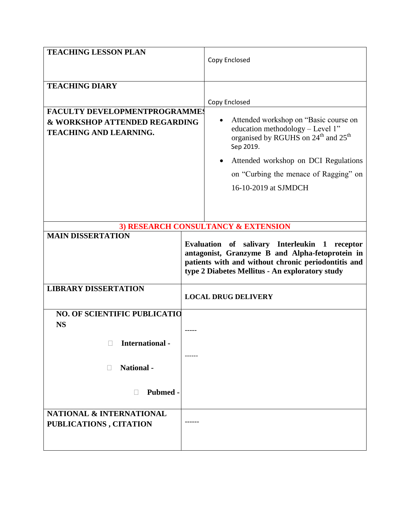| <b>TEACHING LESSON PLAN</b>                                    |  | Copy Enclosed                                                                                                                                                                                              |
|----------------------------------------------------------------|--|------------------------------------------------------------------------------------------------------------------------------------------------------------------------------------------------------------|
| <b>TEACHING DIARY</b>                                          |  |                                                                                                                                                                                                            |
|                                                                |  | Copy Enclosed                                                                                                                                                                                              |
| <b>FACULTY DEVELOPMENTPROGRAMMES</b>                           |  |                                                                                                                                                                                                            |
| & WORKSHOP ATTENDED REGARDING<br><b>TEACHING AND LEARNING.</b> |  | Attended workshop on "Basic course on<br>education methodology - Level 1"<br>organised by RGUHS on 24 <sup>th</sup> and 25 <sup>th</sup><br>Sep 2019.                                                      |
|                                                                |  | Attended workshop on DCI Regulations                                                                                                                                                                       |
|                                                                |  | on "Curbing the menace of Ragging" on                                                                                                                                                                      |
|                                                                |  | 16-10-2019 at SJMDCH                                                                                                                                                                                       |
|                                                                |  | 3) RESEARCH CONSULTANCY & EXTENSION                                                                                                                                                                        |
| <b>MAIN DISSERTATION</b>                                       |  |                                                                                                                                                                                                            |
|                                                                |  | Evaluation of salivary Interleukin 1 receptor<br>antagonist, Granzyme B and Alpha-fetoprotein in<br>patients with and without chronic periodontitis and<br>type 2 Diabetes Mellitus - An exploratory study |
| <b>LIBRARY DISSERTATION</b>                                    |  | <b>LOCAL DRUG DELIVERY</b>                                                                                                                                                                                 |
| <b>NO. OF SCIENTIFIC PUBLICATIO</b>                            |  |                                                                                                                                                                                                            |
| <b>NS</b>                                                      |  |                                                                                                                                                                                                            |
| International -                                                |  |                                                                                                                                                                                                            |
|                                                                |  |                                                                                                                                                                                                            |
| <b>National</b> -<br>$\Box$                                    |  |                                                                                                                                                                                                            |
|                                                                |  |                                                                                                                                                                                                            |
| Pubmed -                                                       |  |                                                                                                                                                                                                            |
| <b>NATIONAL &amp; INTERNATIONAL</b>                            |  |                                                                                                                                                                                                            |
| PUBLICATIONS, CITATION                                         |  |                                                                                                                                                                                                            |
|                                                                |  |                                                                                                                                                                                                            |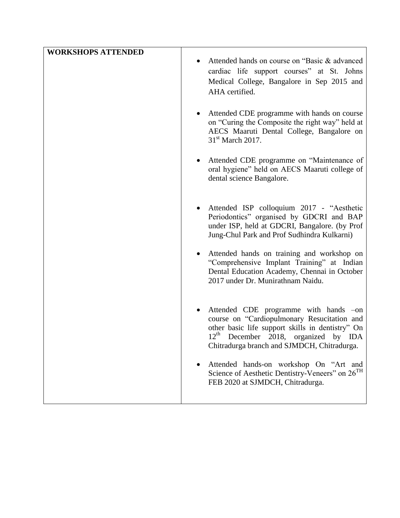| <b>WORKSHOPS ATTENDED</b> |                                                                                                                                                                                                                                                |
|---------------------------|------------------------------------------------------------------------------------------------------------------------------------------------------------------------------------------------------------------------------------------------|
|                           | Attended hands on course on "Basic & advanced"<br>cardiac life support courses" at St. Johns<br>Medical College, Bangalore in Sep 2015 and<br>AHA certified.                                                                                   |
|                           | Attended CDE programme with hands on course<br>on "Curing the Composite the right way" held at<br>AECS Maaruti Dental College, Bangalore on<br>$31st$ March 2017.                                                                              |
|                           | Attended CDE programme on "Maintenance of<br>oral hygiene" held on AECS Maaruti college of<br>dental science Bangalore.                                                                                                                        |
|                           | Attended ISP colloquium 2017 - "Aesthetic<br>Periodontics" organised by GDCRI and BAP<br>under ISP, held at GDCRI, Bangalore. (by Prof<br>Jung-Chul Park and Prof Sudhindra Kulkarni)                                                          |
|                           | Attended hands on training and workshop on<br>"Comprehensive Implant Training" at Indian<br>Dental Education Academy, Chennai in October<br>2017 under Dr. Munirathnam Naidu.                                                                  |
|                           | Attended CDE programme with hands -on<br>course on "Cardiopulmonary Resucitation and<br>other basic life support skills in dentistry" On<br>$12^{\text{th}}$<br>December 2018, organized by IDA<br>Chitradurga branch and SJMDCH, Chitradurga. |
|                           | Attended hands-on workshop On "Art and<br>Science of Aesthetic Dentistry-Veneers" on 26 <sup>TH</sup><br>FEB 2020 at SJMDCH, Chitradurga.                                                                                                      |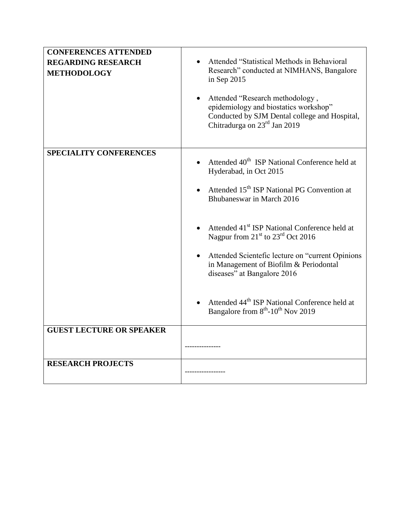| <b>CONFERENCES ATTENDED</b><br><b>REGARDING RESEARCH</b><br><b>METHODOLOGY</b> | Attended "Statistical Methods in Behavioral<br>Research" conducted at NIMHANS, Bangalore<br>in Sep 2015<br>Attended "Research methodology,<br>epidemiology and biostatics workshop"<br>Conducted by SJM Dental college and Hospital,<br>Chitradurga on 23 <sup>rd</sup> Jan 2019                                                                                                                                                    |
|--------------------------------------------------------------------------------|-------------------------------------------------------------------------------------------------------------------------------------------------------------------------------------------------------------------------------------------------------------------------------------------------------------------------------------------------------------------------------------------------------------------------------------|
| SPECIALITY CONFERENCES                                                         | Attended 40 <sup>th</sup> ISP National Conference held at<br>Hyderabad, in Oct 2015<br>Attended 15 <sup>th</sup> ISP National PG Convention at<br>Bhubaneswar in March 2016<br>Attended 41 <sup>st</sup> ISP National Conference held at<br>Nagpur from 21 <sup>st</sup> to 23 <sup>rd</sup> Oct 2016<br>Attended Scientefic lecture on "current Opinions"<br>in Management of Biofilm & Periodontal<br>diseases" at Bangalore 2016 |
|                                                                                | Attended 44 <sup>th</sup> ISP National Conference held at<br>Bangalore from 8 <sup>th</sup> -10 <sup>th</sup> Nov 2019                                                                                                                                                                                                                                                                                                              |
| <b>GUEST LECTURE OR SPEAKER</b>                                                |                                                                                                                                                                                                                                                                                                                                                                                                                                     |
| <b>RESEARCH PROJECTS</b>                                                       |                                                                                                                                                                                                                                                                                                                                                                                                                                     |